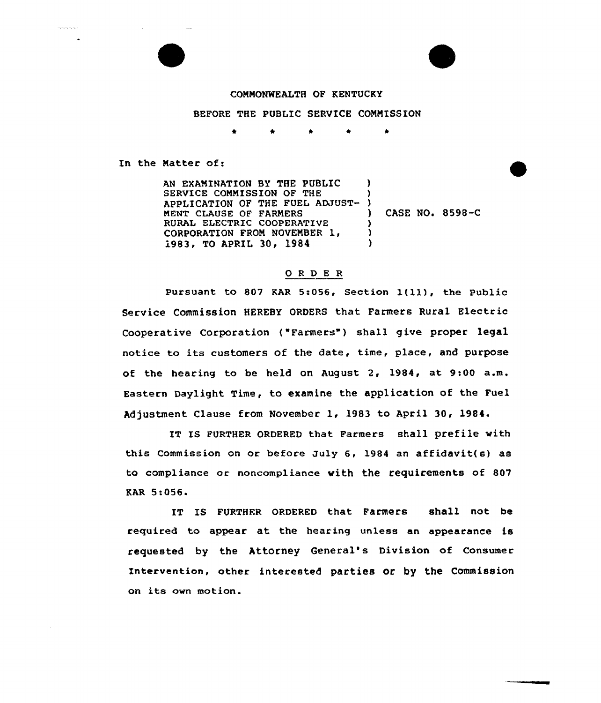



## COMMONWEALTH OF KENTUCKY

BEFORE THE PUBLIC SERVICE COMMISSION

\* \* \*

In the Natter of:

AN EXAMINATION BY THE PUBLIC SERVICE CONMISSION OF THE APPLICATION OF THE FUEL ADJUST-NENT CLAUSE OF FARMERS RURAL ELECTRIC COOPERATIUE CORPORATION FROM NOVEMBER 1, 1983, TO APRIL 30, 1984 ) ) ) ) CASE NO» 8598-C  $\lambda$ ) )

## ORDER

Pursuant to 807 KAR 5:056, Section 1(11), the Public service commission HEREBY oRDERs that Farmers Rural Electric Cooperative Corporation {"Farmers ) shall give proper legal notice to its customers of the date, time, place, and purpose of the hearing to be held on August 2, 1984, at 9:00 a.m. Eastern Daylight Time, to examine the application of the Fuel Adjustment Clause from November 1, 1983 to April 30, 1984.

IT IS FURTHER ORDERED that Farmers shall prefile with this Commission on or before July 6, 1984 an affidavit{ a) as to compliance or noncompliance with the requirements of 807 KAR 5:056.

IT IS FURTHER ORDERED that Farmers shall not be required to appear at the hearing unless an appearance is requested by the Attorney General's Division of Consumer Intervention, other interested partiee or by the Commission on its own motion.